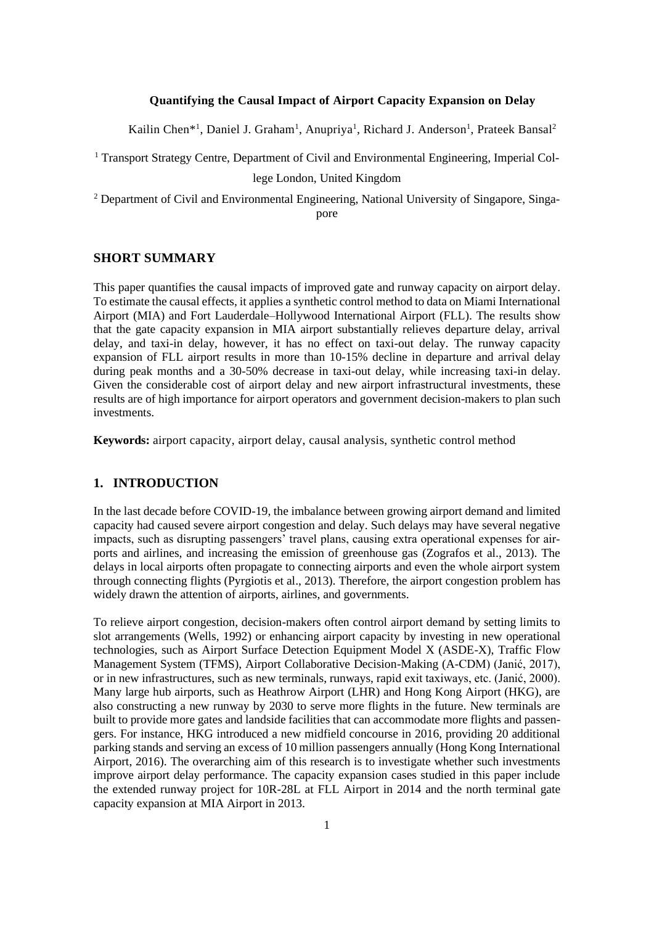## **Quantifying the Causal Impact of Airport Capacity Expansion on Delay**

Kailin Chen<sup>\*1</sup>, Daniel J. Graham<sup>1</sup>, Anupriya<sup>1</sup>, Richard J. Anderson<sup>1</sup>, Prateek Bansal<sup>2</sup>

<sup>1</sup> Transport Strategy Centre, Department of Civil and Environmental Engineering, Imperial Col-

lege London, United Kingdom

<sup>2</sup> Department of Civil and Environmental Engineering, National University of Singapore, Singapore

#### **SHORT SUMMARY**

This paper quantifies the causal impacts of improved gate and runway capacity on airport delay. To estimate the causal effects, it applies a synthetic control method to data on Miami International Airport (MIA) and Fort Lauderdale–Hollywood International Airport (FLL). The results show that the gate capacity expansion in MIA airport substantially relieves departure delay, arrival delay, and taxi-in delay, however, it has no effect on taxi-out delay. The runway capacity expansion of FLL airport results in more than 10-15% decline in departure and arrival delay during peak months and a 30-50% decrease in taxi-out delay, while increasing taxi-in delay. Given the considerable cost of airport delay and new airport infrastructural investments, these results are of high importance for airport operators and government decision-makers to plan such investments.

**Keywords:** airport capacity, airport delay, causal analysis, synthetic control method

## **1. INTRODUCTION**

In the last decade before COVID-19, the imbalance between growing airport demand and limited capacity had caused severe airport congestion and delay. Such delays may have several negative impacts, such as disrupting passengers' travel plans, causing extra operational expenses for airports and airlines, and increasing the emission of greenhouse gas (Zografos et al., 2013). The delays in local airports often propagate to connecting airports and even the whole airport system through connecting flights (Pyrgiotis et al., 2013). Therefore, the airport congestion problem has widely drawn the attention of airports, airlines, and governments.

To relieve airport congestion, decision-makers often control airport demand by setting limits to slot arrangements (Wells, 1992) or enhancing airport capacity by investing in new operational technologies, such as Airport Surface Detection Equipment Model X (ASDE-X), Traffic Flow Management System (TFMS), Airport Collaborative Decision-Making (A-CDM) (Janić, 2017), or in new infrastructures, such as new terminals, runways, rapid exit taxiways, etc. (Janić, 2000). Many large hub airports, such as Heathrow Airport (LHR) and Hong Kong Airport (HKG), are also constructing a new runway by 2030 to serve more flights in the future. New terminals are built to provide more gates and landside facilities that can accommodate more flights and passengers. For instance, HKG introduced a new midfield concourse in 2016, providing 20 additional parking stands and serving an excess of 10 million passengers annually (Hong Kong International Airport, 2016). The overarching aim of this research is to investigate whether such investments improve airport delay performance. The capacity expansion cases studied in this paper include the extended runway project for 10R-28L at FLL Airport in 2014 and the north terminal gate capacity expansion at MIA Airport in 2013.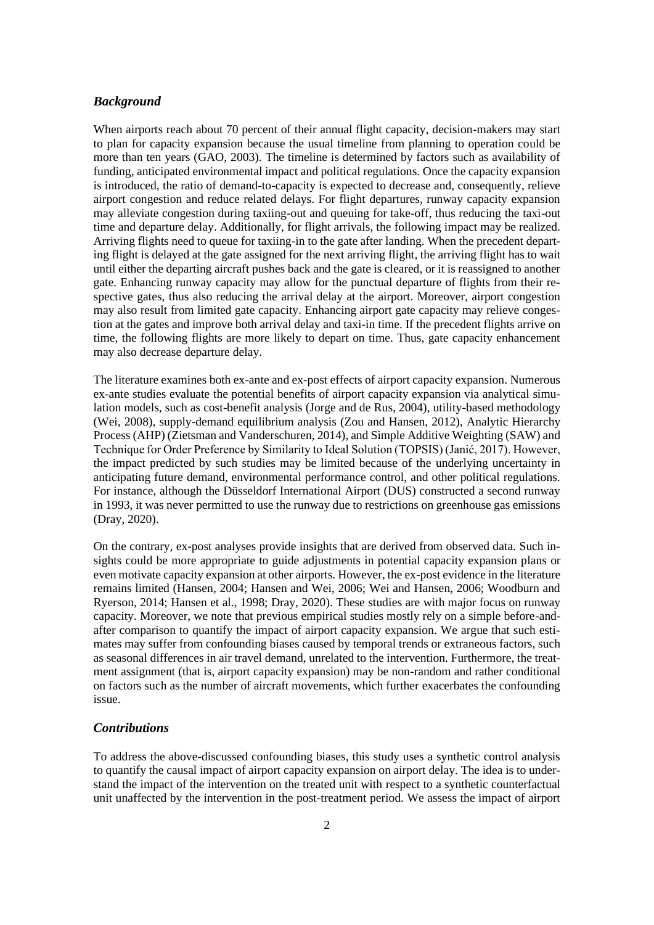### *Background*

When airports reach about 70 percent of their annual flight capacity, decision-makers may start to plan for capacity expansion because the usual timeline from planning to operation could be more than ten years (GAO, 2003). The timeline is determined by factors such as availability of funding, anticipated environmental impact and political regulations. Once the capacity expansion is introduced, the ratio of demand-to-capacity is expected to decrease and, consequently, relieve airport congestion and reduce related delays. For flight departures, runway capacity expansion may alleviate congestion during taxiing-out and queuing for take-off, thus reducing the taxi-out time and departure delay. Additionally, for flight arrivals, the following impact may be realized. Arriving flights need to queue for taxiing-in to the gate after landing. When the precedent departing flight is delayed at the gate assigned for the next arriving flight, the arriving flight has to wait until either the departing aircraft pushes back and the gate is cleared, or it is reassigned to another gate. Enhancing runway capacity may allow for the punctual departure of flights from their respective gates, thus also reducing the arrival delay at the airport. Moreover, airport congestion may also result from limited gate capacity. Enhancing airport gate capacity may relieve congestion at the gates and improve both arrival delay and taxi-in time. If the precedent flights arrive on time, the following flights are more likely to depart on time. Thus, gate capacity enhancement may also decrease departure delay.

The literature examines both ex-ante and ex-post effects of airport capacity expansion. Numerous ex-ante studies evaluate the potential benefits of airport capacity expansion via analytical simulation models, such as cost-benefit analysis (Jorge and de Rus, 2004), utility-based methodology (Wei, 2008), supply-demand equilibrium analysis (Zou and Hansen, 2012), Analytic Hierarchy Process (AHP) (Zietsman and Vanderschuren, 2014), and Simple Additive Weighting (SAW) and Technique for Order Preference by Similarity to Ideal Solution (TOPSIS) (Janić, 2017). However, the impact predicted by such studies may be limited because of the underlying uncertainty in anticipating future demand, environmental performance control, and other political regulations. For instance, although the Düsseldorf International Airport (DUS) constructed a second runway in 1993, it was never permitted to use the runway due to restrictions on greenhouse gas emissions (Dray, 2020).

On the contrary, ex-post analyses provide insights that are derived from observed data. Such insights could be more appropriate to guide adjustments in potential capacity expansion plans or even motivate capacity expansion at other airports. However, the ex-post evidence in the literature remains limited (Hansen, 2004; Hansen and Wei, 2006; Wei and Hansen, 2006; Woodburn and Ryerson, 2014; Hansen et al., 1998; Dray, 2020). These studies are with major focus on runway capacity. Moreover, we note that previous empirical studies mostly rely on a simple before-andafter comparison to quantify the impact of airport capacity expansion. We argue that such estimates may suffer from confounding biases caused by temporal trends or extraneous factors, such as seasonal differences in air travel demand, unrelated to the intervention. Furthermore, the treatment assignment (that is, airport capacity expansion) may be non-random and rather conditional on factors such as the number of aircraft movements, which further exacerbates the confounding issue.

#### *Contributions*

To address the above-discussed confounding biases, this study uses a synthetic control analysis to quantify the causal impact of airport capacity expansion on airport delay. The idea is to understand the impact of the intervention on the treated unit with respect to a synthetic counterfactual unit unaffected by the intervention in the post-treatment period. We assess the impact of airport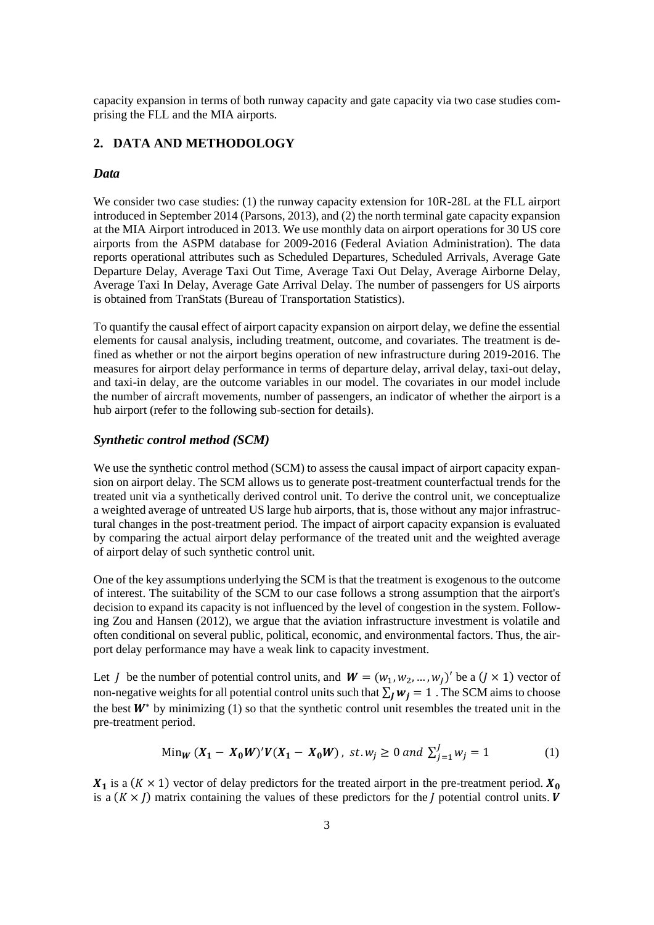capacity expansion in terms of both runway capacity and gate capacity via two case studies comprising the FLL and the MIA airports.

# **2. DATA AND METHODOLOGY**

# *Data*

We consider two case studies: (1) the runway capacity extension for  $10R-28L$  at the FLL airport introduced in September 2014 (Parsons, 2013), and (2) the north terminal gate capacity expansion at the MIA Airport introduced in 2013. We use monthly data on airport operations for 30 US core airports from the ASPM database for 2009-2016 (Federal Aviation Administration). The data reports operational attributes such as Scheduled Departures, Scheduled Arrivals, Average Gate Departure Delay, Average Taxi Out Time, Average Taxi Out Delay, Average Airborne Delay, Average Taxi In Delay, Average Gate Arrival Delay. The number of passengers for US airports is obtained from TranStats (Bureau of Transportation Statistics).

To quantify the causal effect of airport capacity expansion on airport delay, we define the essential elements for causal analysis, including treatment, outcome, and covariates. The treatment is defined as whether or not the airport begins operation of new infrastructure during 2019-2016. The measures for airport delay performance in terms of departure delay, arrival delay, taxi-out delay, and taxi-in delay, are the outcome variables in our model. The covariates in our model include the number of aircraft movements, number of passengers, an indicator of whether the airport is a hub airport (refer to the following sub-section for details).

### *Synthetic control method (SCM)*

We use the synthetic control method (SCM) to assess the causal impact of airport capacity expansion on airport delay. The SCM allows us to generate post-treatment counterfactual trends for the treated unit via a synthetically derived control unit. To derive the control unit, we conceptualize a weighted average of untreated US large hub airports, that is, those without any major infrastructural changes in the post-treatment period. The impact of airport capacity expansion is evaluated by comparing the actual airport delay performance of the treated unit and the weighted average of airport delay of such synthetic control unit.

One of the key assumptions underlying the SCM is that the treatment is exogenous to the outcome of interest. The suitability of the SCM to our case follows a strong assumption that the airport's decision to expand its capacity is not influenced by the level of congestion in the system. Following Zou and Hansen (2012), we argue that the aviation infrastructure investment is volatile and often conditional on several public, political, economic, and environmental factors. Thus, the airport delay performance may have a weak link to capacity investment.

Let *J* be the number of potential control units, and  $W = (w_1, w_2, ..., w_l)'$  be a  $(J \times 1)$  vector of non-negative weights for all potential control units such that  $\sum_l w_i = 1$ . The SCM aims to choose the best  $W^*$  by minimizing (1) so that the synthetic control unit resembles the treated unit in the pre-treatment period.

$$
\text{Min}_{W} (X_1 - X_0 W)' V (X_1 - X_0 W), \text{ st. } w_j \ge 0 \text{ and } \sum_{j=1}^{J} w_j = 1 \tag{1}
$$

 $X_1$  is a ( $K \times 1$ ) vector of delay predictors for the treated airport in the pre-treatment period.  $X_0$ is a  $(K \times J)$  matrix containing the values of these predictors for the *J* potential control units. *V*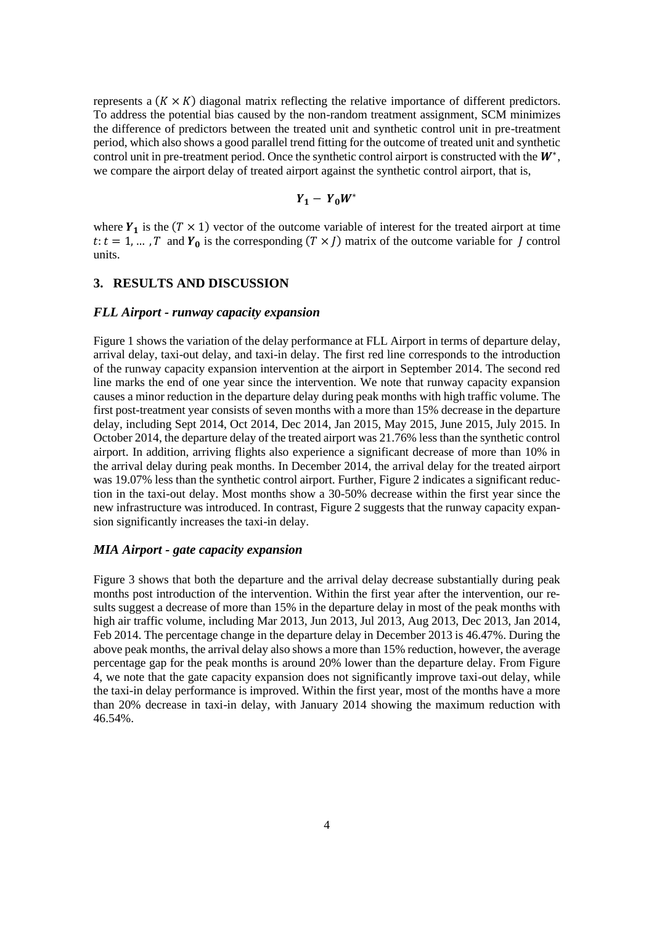represents a  $(K \times K)$  diagonal matrix reflecting the relative importance of different predictors. To address the potential bias caused by the non-random treatment assignment, SCM minimizes the difference of predictors between the treated unit and synthetic control unit in pre-treatment period, which also shows a good parallel trend fitting for the outcome of treated unit and synthetic control unit in pre-treatment period. Once the synthetic control airport is constructed with the  $W^*$ , we compare the airport delay of treated airport against the synthetic control airport, that is,

$$
Y_1 - Y_0 W^*
$$

where  $Y_1$  is the ( $T \times 1$ ) vector of the outcome variable of interest for the treated airport at time  $t: t = 1, ... , T$  and  $Y_0$  is the corresponding  $(T \times I)$  matrix of the outcome variable for *I* control units.

### **3. RESULTS AND DISCUSSION**

#### *FLL Airport - runway capacity expansion*

Figure 1 shows the variation of the delay performance at FLL Airport in terms of departure delay, arrival delay, taxi-out delay, and taxi-in delay. The first red line corresponds to the introduction of the runway capacity expansion intervention at the airport in September 2014. The second red line marks the end of one year since the intervention. We note that runway capacity expansion causes a minor reduction in the departure delay during peak months with high traffic volume. The first post-treatment year consists of seven months with a more than 15% decrease in the departure delay, including Sept 2014, Oct 2014, Dec 2014, Jan 2015, May 2015, June 2015, July 2015. In October 2014, the departure delay of the treated airport was 21.76% less than the synthetic control airport. In addition, arriving flights also experience a significant decrease of more than 10% in the arrival delay during peak months. In December 2014, the arrival delay for the treated airport was 19.07% less than the synthetic control airport. Further, Figure 2 indicates a significant reduction in the taxi-out delay. Most months show a 30-50% decrease within the first year since the new infrastructure was introduced. In contrast, Figure 2 suggests that the runway capacity expansion significantly increases the taxi-in delay.

#### *MIA Airport - gate capacity expansion*

Figure 3 shows that both the departure and the arrival delay decrease substantially during peak months post introduction of the intervention. Within the first year after the intervention, our results suggest a decrease of more than 15% in the departure delay in most of the peak months with high air traffic volume, including Mar 2013, Jun 2013, Jul 2013, Aug 2013, Dec 2013, Jan 2014, Feb 2014. The percentage change in the departure delay in December 2013 is 46.47%. During the above peak months, the arrival delay also shows a more than 15% reduction, however, the average percentage gap for the peak months is around 20% lower than the departure delay. From Figure 4, we note that the gate capacity expansion does not significantly improve taxi-out delay, while the taxi-in delay performance is improved. Within the first year, most of the months have a more than 20% decrease in taxi-in delay, with January 2014 showing the maximum reduction with 46.54%.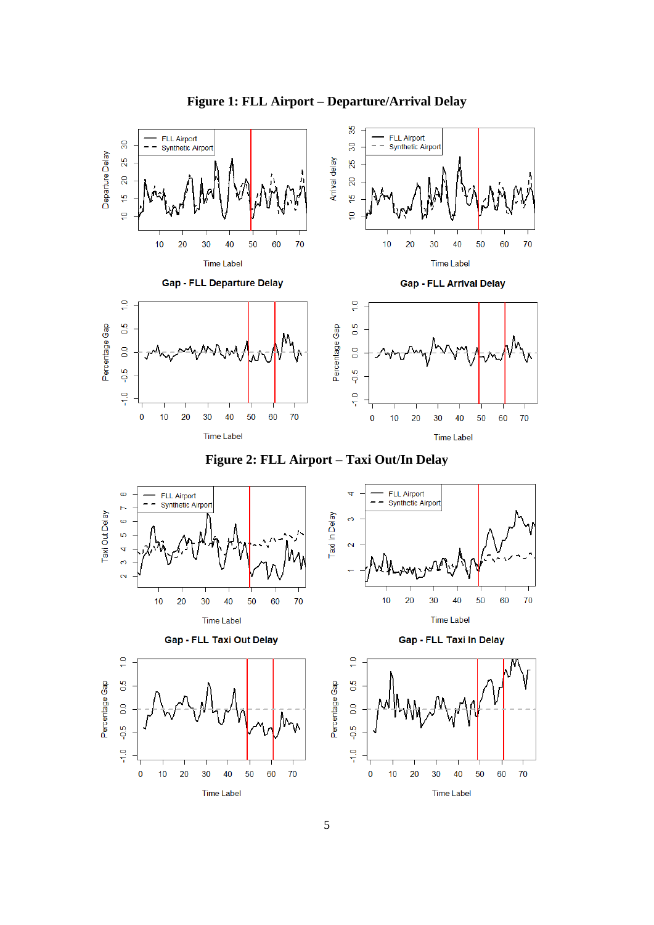

# **Figure 1: FLL Airport – Departure/Arrival Delay**



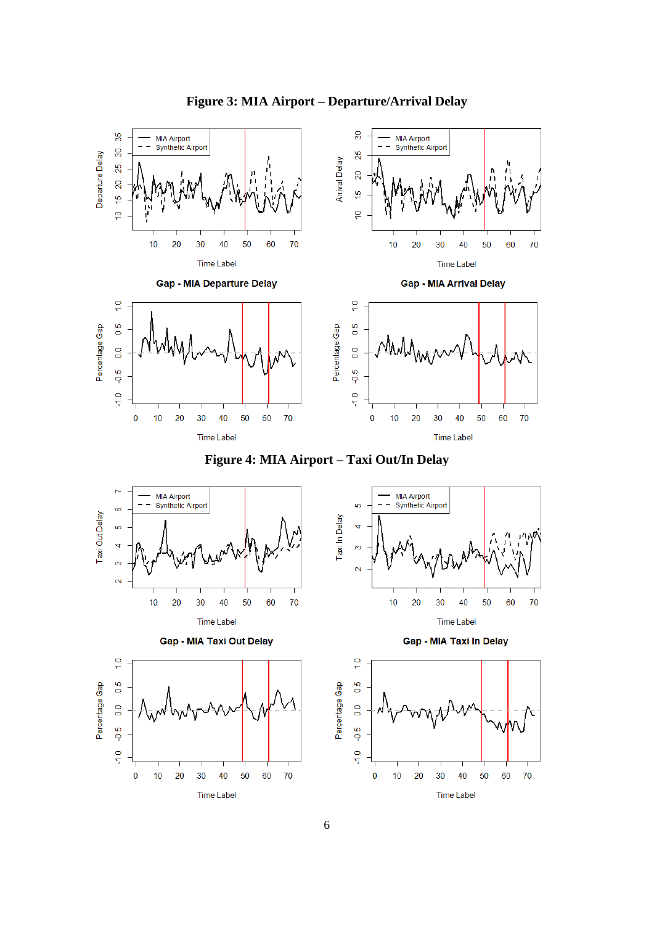

# **Figure 3: MIA Airport – Departure/Arrival Delay**



70

70

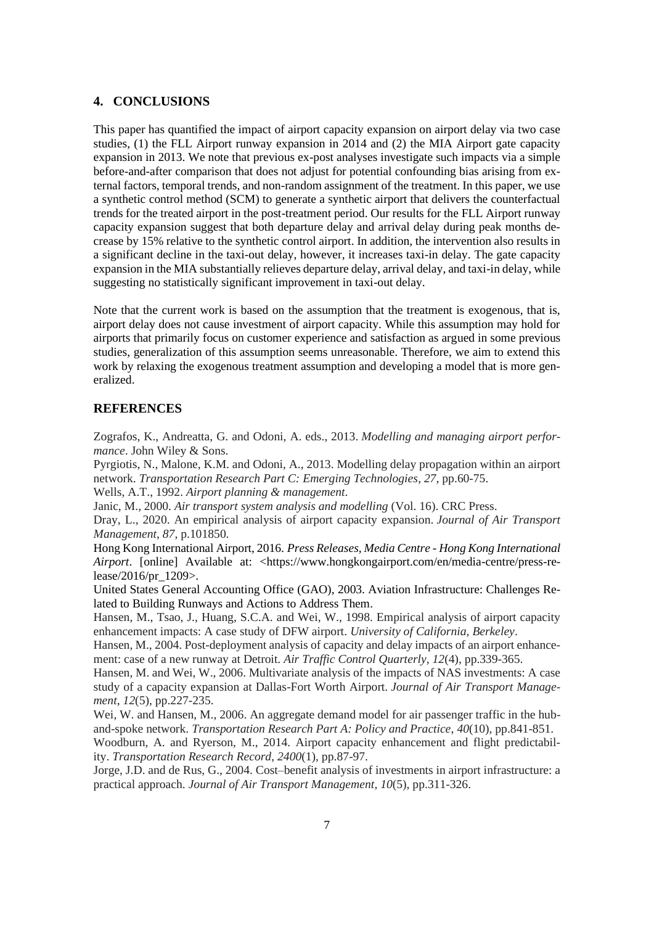#### **4. CONCLUSIONS**

This paper has quantified the impact of airport capacity expansion on airport delay via two case studies, (1) the FLL Airport runway expansion in 2014 and (2) the MIA Airport gate capacity expansion in 2013. We note that previous ex-post analyses investigate such impacts via a simple before-and-after comparison that does not adjust for potential confounding bias arising from external factors, temporal trends, and non-random assignment of the treatment. In this paper, we use a synthetic control method (SCM) to generate a synthetic airport that delivers the counterfactual trends for the treated airport in the post-treatment period. Our results for the FLL Airport runway capacity expansion suggest that both departure delay and arrival delay during peak months decrease by 15% relative to the synthetic control airport. In addition, the intervention also results in a significant decline in the taxi-out delay, however, it increases taxi-in delay. The gate capacity expansion in the MIA substantially relieves departure delay, arrival delay, and taxi-in delay, while suggesting no statistically significant improvement in taxi-out delay.

Note that the current work is based on the assumption that the treatment is exogenous, that is, airport delay does not cause investment of airport capacity. While this assumption may hold for airports that primarily focus on customer experience and satisfaction as argued in some previous studies, generalization of this assumption seems unreasonable. Therefore, we aim to extend this work by relaxing the exogenous treatment assumption and developing a model that is more generalized.

#### **REFERENCES**

Zografos, K., Andreatta, G. and Odoni, A. eds., 2013. *Modelling and managing airport performance*. John Wiley & Sons.

Pyrgiotis, N., Malone, K.M. and Odoni, A., 2013. Modelling delay propagation within an airport network. *Transportation Research Part C: Emerging Technologies*, *27*, pp.60-75.

Wells, A.T., 1992. *Airport planning & management*.

Janic, M., 2000. *Air transport system analysis and modelling* (Vol. 16). CRC Press.

Dray, L., 2020. An empirical analysis of airport capacity expansion. *Journal of Air Transport Management*, *87*, p.101850.

Hong Kong International Airport, 2016. *Press Releases, Media Centre - Hong Kong International Airport.* [online] Available at: <https://www.hongkongairport.com/en/media-centre/press-release/2016/pr\_1209>.

United States General Accounting Office (GAO), 2003. Aviation Infrastructure: Challenges Related to Building Runways and Actions to Address Them.

Hansen, M., Tsao, J., Huang, S.C.A. and Wei, W., 1998. Empirical analysis of airport capacity enhancement impacts: A case study of DFW airport. *University of California, Berkeley*.

Hansen, M., 2004. Post-deployment analysis of capacity and delay impacts of an airport enhancement: case of a new runway at Detroit. *Air Traffic Control Quarterly*, *12*(4), pp.339-365.

Hansen, M. and Wei, W., 2006. Multivariate analysis of the impacts of NAS investments: A case study of a capacity expansion at Dallas-Fort Worth Airport. *Journal of Air Transport Management*, *12*(5), pp.227-235.

Wei, W. and Hansen, M., 2006. An aggregate demand model for air passenger traffic in the huband-spoke network. *Transportation Research Part A: Policy and Practice*, *40*(10), pp.841-851.

Woodburn, A. and Ryerson, M., 2014. Airport capacity enhancement and flight predictability. *Transportation Research Record*, *2400*(1), pp.87-97.

Jorge, J.D. and de Rus, G., 2004. Cost–benefit analysis of investments in airport infrastructure: a practical approach. *Journal of Air Transport Management*, *10*(5), pp.311-326.